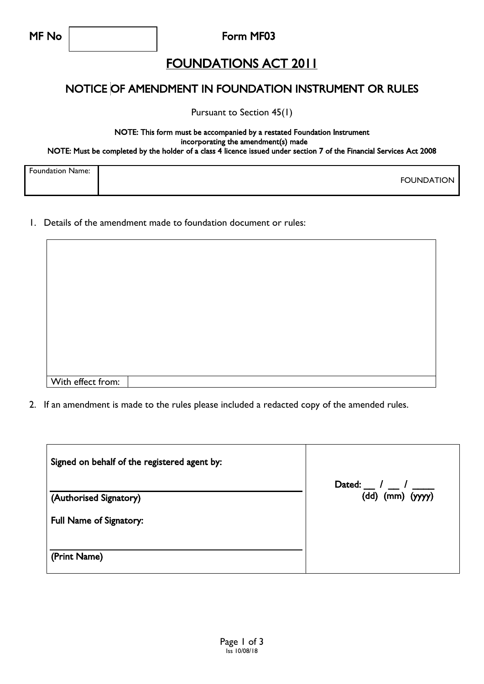Form MF03

## FOUNDATIONS ACT 2011

#### NOTICE OF AMENDMENT IN FOUNDATION INSTRUMENT OR RULES

Pursuant to Section 45(1)

#### NOTE: This form must be accompanied by a restated Foundation Instrument incorporating the amendment(s) made NOTE: Must be completed by the holder of a class 4 licence issued under section 7 of the Financial Services Act 2008

| <b>Foundation Name:</b> |                   |
|-------------------------|-------------------|
|                         | <b>FOUNDATION</b> |
|                         |                   |

1. Details of the amendment made to foundation document or rules:

| With effect from: |  |
|-------------------|--|
|                   |  |

2. If an amendment is made to the rules please included a redacted copy of the amended rules.

| Signed on behalf of the registered agent by: |                                                                              |
|----------------------------------------------|------------------------------------------------------------------------------|
| (Authorised Signatory)                       | Dated: $\frac{1}{2}$ / $\frac{1}{2}$ / $\frac{1}{2}$<br>$(dd)$ (mm) $(yyyy)$ |
| Full Name of Signatory:                      |                                                                              |
| (Print Name)                                 |                                                                              |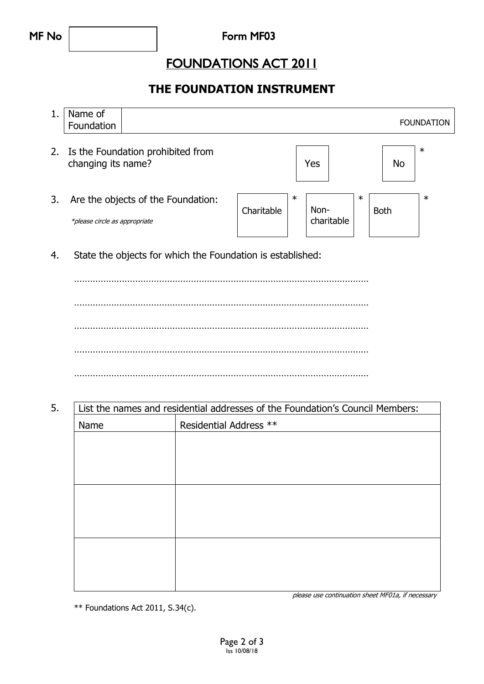## FOUNDATIONS ACT 2011

### **THE FOUNDATION INSTRUMENT**

|    | Name of<br>Foundation         |                                    |            |        |                    |        |             | <b>FOUNDATION</b> |
|----|-------------------------------|------------------------------------|------------|--------|--------------------|--------|-------------|-------------------|
| 2. | changing its name?            | Is the Foundation prohibited from  |            |        | Yes                |        | No          | $\ast$            |
| 3. | *please circle as appropriate | Are the objects of the Foundation: | Charitable | $\ast$ | Non-<br>charitable | $\ast$ | <b>Both</b> | $\ast$            |

4. State the objects for which the Foundation is established:

………………………………………………………………………………………………… ………………………………………………………………………………………………… ………………………………………………………………………………………………… ………………………………………………………………………………………………… …………………………………………………………………………………………………

#### 5. List the names and residential addresses of the Foundation's Council Members:

| Name | Residential Address ** |  |  |
|------|------------------------|--|--|
|      |                        |  |  |
|      |                        |  |  |
|      |                        |  |  |
|      |                        |  |  |
|      |                        |  |  |
|      |                        |  |  |
|      |                        |  |  |
|      |                        |  |  |
|      |                        |  |  |

please use continuation sheet MF01a, if necessary

\*\* Foundations Act 2011, S.34(c).